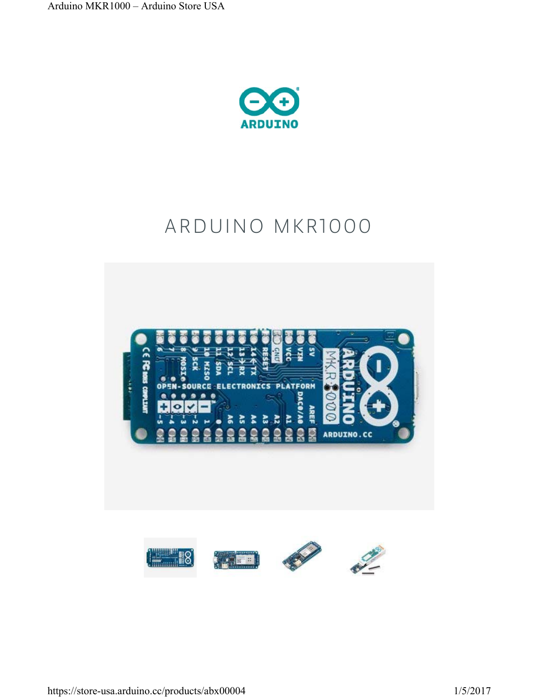

# ARDUINO MKR1000

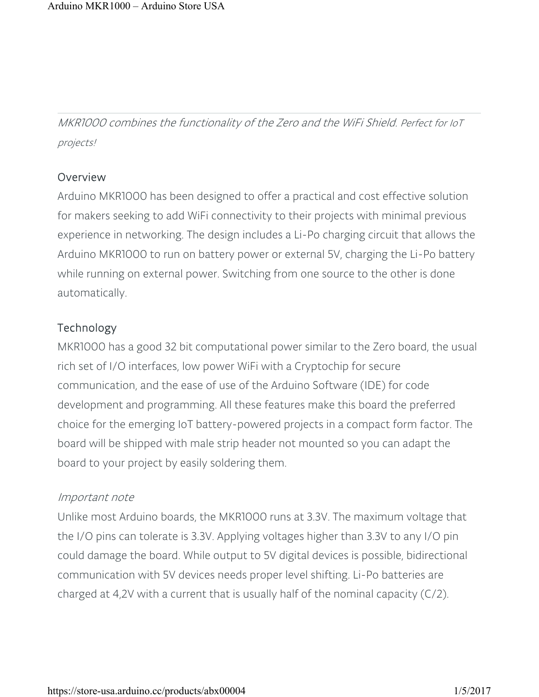MKR1000 combines the functionality of the Zero and the WiFi Shield. Perfect for IoT projects!

#### **Overview**

Arduino MKR1000 has been designed to offer a practical and cost effective solution for makers seeking to add WiFi connectivity to their projects with minimal previous experience in networking. The design includes a Li-Po charging circuit that allows the Arduino MKR1000 to run on battery power or external 5V, charging the Li-Po battery while running on external power. Switching from one source to the other is done automatically.

### **Technology**

MKR1000 has a good 32 bit computational power similar to the Zero board, the usual rich set of I/O interfaces, low power WiFi with a Cryptochip for secure communication, and the ease of use of the Arduino Software (IDE) for code development and programming. All these features make this board the preferred choice for the emerging IoT battery-powered projects in a compact form factor. The board will be shipped with male strip header not mounted so you can adapt the board to your project by easily soldering them.

#### Important note

Unlike most Arduino boards, the MKR1000 runs at 3.3V. The maximum voltage that the I/O pins can tolerate is 3.3V. Applying voltages higher than 3.3V to any I/O pin could damage the board. While output to 5V digital devices is possible, bidirectional communication with 5V devices needs proper level shifting. Li-Po batteries are charged at 4,2V with a current that is usually half of the nominal capacity (C/2).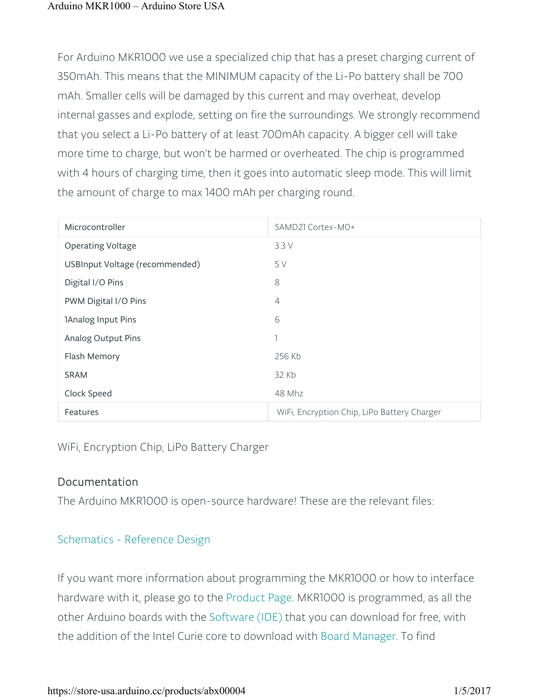For Arduino MKR1000 we use a specialized chip that has a preset charging current of 350mAh. This means that the MINIMUM capacity of the Li-Po battery shall be 700 mAh. Smaller cells will be damaged by this current and may overheat, develop internal gasses and explode, setting on fire the surroundings. We strongly recommend that you select a Li-Po battery of at least 700mAh capacity. A bigger cell will take more time to charge, but won't be harmed or overheated. The chip is programmed with 4 hours of charging time, then it goes into automatic sleep mode. This will limit the amount of charge to max 1400 mAh per charging round.

| Microcontroller                | SAMD21 Cortex-MO+                           |
|--------------------------------|---------------------------------------------|
| <b>Operating Voltage</b>       | 3.3V                                        |
| USBInput Voltage (recommended) | 5 V                                         |
| Digital I/O Pins               | 8                                           |
| PWM Digital I/O Pins           | $\overline{4}$                              |
| 1Analog Input Pins             | 6                                           |
| Analog Output Pins             | 1                                           |
| Flash Memory                   | 256 Kb                                      |
| <b>SRAM</b>                    | 32 Kb                                       |
| Clock Speed                    | 48 Mhz                                      |
| Features                       | WiFi, Encryption Chip, LiPo Battery Charger |

WiFi, Encryption Chip, LiPo Battery Charger

## Documentation

The Arduino MKR1000 is open-source hardware! These are the relevant files:

## Schematics - Reference Design

If you want more information about programming the MKR1000 or how to interface hardware with it, please go to the Product Page. MKR1000 is programmed, as all the other Arduino boards with the Software (IDE) that you can download for free, with the addition of the Intel Curie core to download with Board Manager. To find